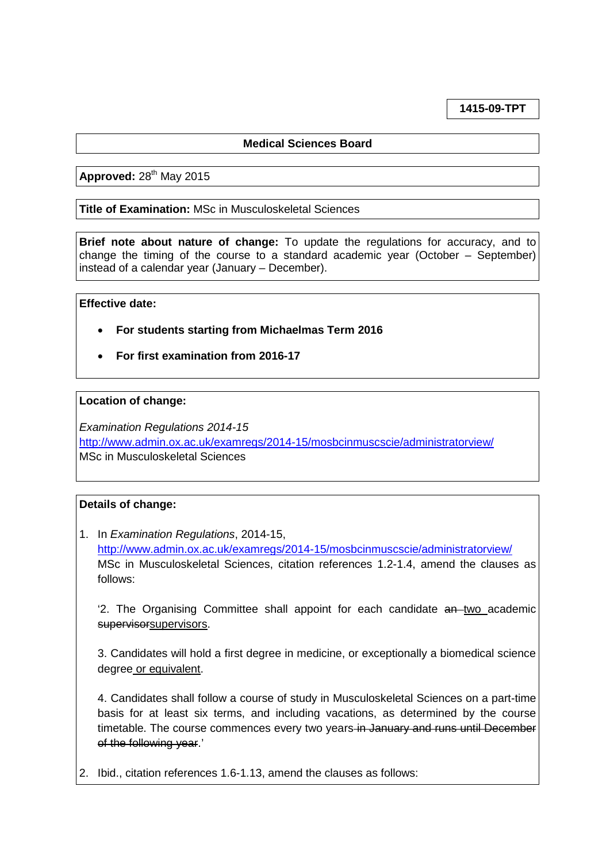**1415-09-TPT**

# **Medical Sciences Board**

**Approved: 28<sup>th</sup> May 2015** 

**Title of Examination:** MSc in Musculoskeletal Sciences

**Brief note about nature of change:** To update the regulations for accuracy, and to change the timing of the course to a standard academic year (October – September) instead of a calendar year (January – December).

#### **Effective date:**

- **For students starting from Michaelmas Term 2016**
- **For first examination from 2016-17**

#### **Location of change:**

*Examination Regulations 2014-15* <http://www.admin.ox.ac.uk/examregs/2014-15/mosbcinmuscscie/administratorview/> MSc in Musculoskeletal Sciences

### **Details of change:**

1. In *Examination Regulations*, 2014-15, <http://www.admin.ox.ac.uk/examregs/2014-15/mosbcinmuscscie/administratorview/> MSc in Musculoskeletal Sciences, citation references 1.2-1.4, amend the clauses as follows:

 $2$ . The Organising Committee shall appoint for each candidate  $a_n$ -two academic supervisorsupervisors.

3. Candidates will hold a first degree in medicine, or exceptionally a biomedical science degree or equivalent.

4. Candidates shall follow a course of study in Musculoskeletal Sciences on a part-time basis for at least six terms, and including vacations, as determined by the course timetable. The course commences every two years in January and runs until December of the following year.'

2. Ibid., citation references 1.6-1.13, amend the clauses as follows: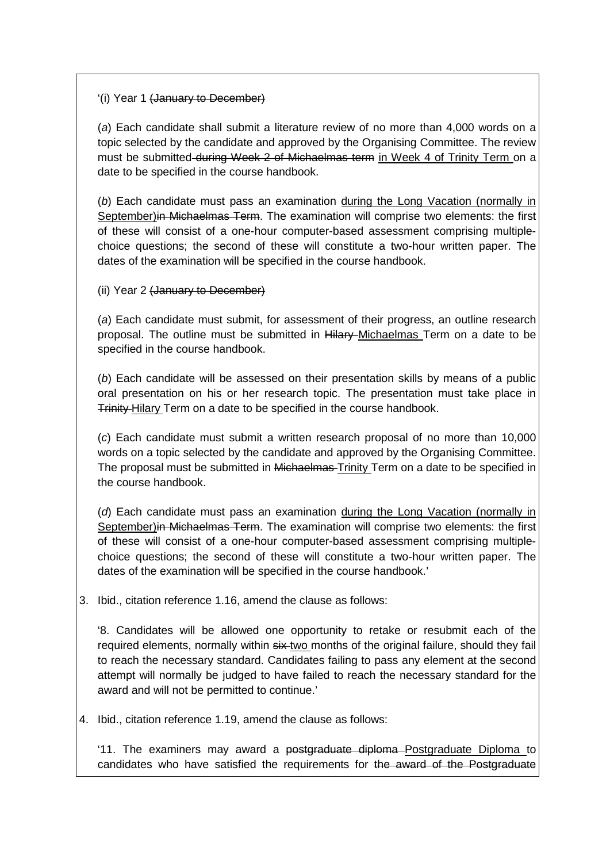## '(i) Year 1 (January to December)

(*a*) Each candidate shall submit a literature review of no more than 4,000 words on a topic selected by the candidate and approved by the Organising Committee. The review must be submitted during Week 2 of Michaelmas term in Week 4 of Trinity Term on a date to be specified in the course handbook.

(*b*) Each candidate must pass an examination during the Long Vacation (normally in September)in Michaelmas Term. The examination will comprise two elements: the first of these will consist of a one-hour computer-based assessment comprising multiplechoice questions; the second of these will constitute a two-hour written paper. The dates of the examination will be specified in the course handbook.

(ii) Year 2 (January to December)

(*a*) Each candidate must submit, for assessment of their progress, an outline research proposal. The outline must be submitted in Hilary-Michaelmas Term on a date to be specified in the course handbook.

(*b*) Each candidate will be assessed on their presentation skills by means of a public oral presentation on his or her research topic. The presentation must take place in Trinity Hilary Term on a date to be specified in the course handbook.

(*c*) Each candidate must submit a written research proposal of no more than 10,000 words on a topic selected by the candidate and approved by the Organising Committee. The proposal must be submitted in Michaelmas-Trinity Term on a date to be specified in the course handbook.

(*d*) Each candidate must pass an examination during the Long Vacation (normally in September)in Michaelmas Term. The examination will comprise two elements: the first of these will consist of a one-hour computer-based assessment comprising multiplechoice questions; the second of these will constitute a two-hour written paper. The dates of the examination will be specified in the course handbook.'

3. Ibid., citation reference 1.16, amend the clause as follows:

'8. Candidates will be allowed one opportunity to retake or resubmit each of the required elements, normally within  $s_{i}x$ -two months of the original failure, should they fail to reach the necessary standard. Candidates failing to pass any element at the second attempt will normally be judged to have failed to reach the necessary standard for the award and will not be permitted to continue.'

4. Ibid., citation reference 1.19, amend the clause as follows:

'11. The examiners may award a postgraduate diploma Postgraduate Diploma to candidates who have satisfied the requirements for the award of the Postgraduate